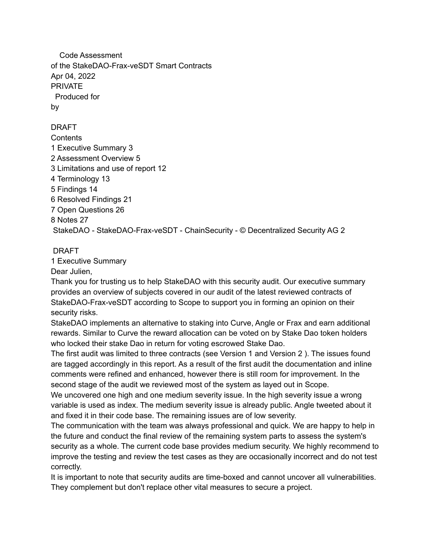Code Assessment of the StakeDAO-Frax-veSDT Smart Contracts Apr 04, 2022 PRIVATE Produced for by

DRAFT **Contents**  Executive Summary 3 Assessment Overview 5 Limitations and use of report 12 Terminology 13 Findings 14 Resolved Findings 21 Open Questions 26 8 Notes 27 StakeDAO - StakeDAO-Frax-veSDT - ChainSecurity - © Decentralized Security AG 2

#### DRAFT

1 Executive Summary

Dear Julien,

Thank you for trusting us to help StakeDAO with this security audit. Our executive summary provides an overview of subjects covered in our audit of the latest reviewed contracts of StakeDAO-Frax-veSDT according to Scope to support you in forming an opinion on their security risks.

StakeDAO implements an alternative to staking into Curve, Angle or Frax and earn additional rewards. Similar to Curve the reward allocation can be voted on by Stake Dao token holders who locked their stake Dao in return for voting escrowed Stake Dao.

The first audit was limited to three contracts (see Version 1 and Version 2 ). The issues found are tagged accordingly in this report. As a result of the first audit the documentation and inline comments were refined and enhanced, however there is still room for improvement. In the second stage of the audit we reviewed most of the system as layed out in Scope.

We uncovered one high and one medium severity issue. In the high severity issue a wrong variable is used as index. The medium severity issue is already public. Angle tweeted about it and fixed it in their code base. The remaining issues are of low severity.

The communication with the team was always professional and quick. We are happy to help in the future and conduct the final review of the remaining system parts to assess the system's security as a whole. The current code base provides medium security. We highly recommend to improve the testing and review the test cases as they are occasionally incorrect and do not test correctly.

It is important to note that security audits are time-boxed and cannot uncover all vulnerabilities. They complement but don't replace other vital measures to secure a project.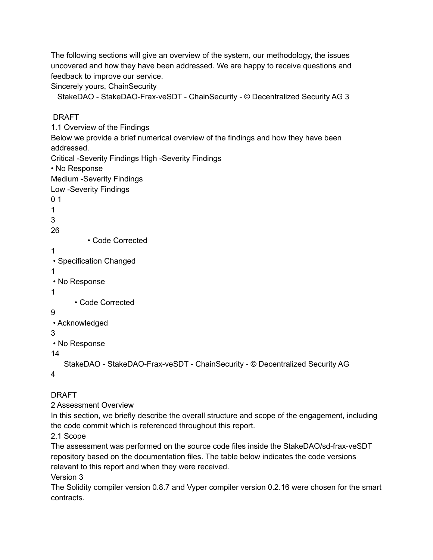The following sections will give an overview of the system, our methodology, the issues uncovered and how they have been addressed. We are happy to receive questions and feedback to improve our service.

Sincerely yours, ChainSecurity

StakeDAO - StakeDAO-Frax-veSDT - ChainSecurity - © Decentralized Security AG 3

#### DRAFT

1.1 Overview of the Findings Below we provide a brief numerical overview of the findings and how they have been addressed. Critical -Severity Findings High -Severity Findings • No Response Medium -Severity Findings Low -Severity Findings 0 1 1 3 26 • Code Corrected 1 • Specification Changed 1 • No Response 1 • Code Corrected 9 • Acknowledged 3 • No Response 14 StakeDAO - StakeDAO-Frax-veSDT - ChainSecurity - © Decentralized Security AG 4

DRAFT

2 Assessment Overview

In this section, we briefly describe the overall structure and scope of the engagement, including the code commit which is referenced throughout this report.

2.1 Scope

The assessment was performed on the source code files inside the StakeDAO/sd-frax-veSDT repository based on the documentation files. The table below indicates the code versions relevant to this report and when they were received.

Version 3

The Solidity compiler version 0.8.7 and Vyper compiler version 0.2.16 were chosen for the smart contracts.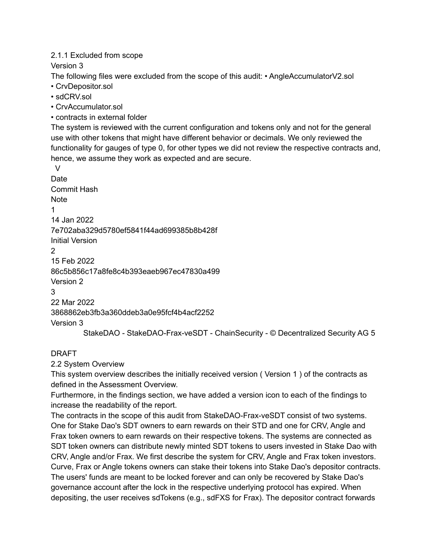#### 2.1.1 Excluded from scope

Version 3

The following files were excluded from the scope of this audit: • AngleAccumulatorV2.sol

- CrvDepositor.sol
- sdCRV.sol
- CrvAccumulator.sol
- contracts in external folder

The system is reviewed with the current configuration and tokens only and not for the general use with other tokens that might have different behavior or decimals. We only reviewed the functionality for gauges of type 0, for other types we did not review the respective contracts and, hence, we assume they work as expected and are secure.

V Date Commit Hash **Note** 1 14 Jan 2022 7e702aba329d5780ef5841f44ad699385b8b428f Initial Version  $\mathcal{P}$ 15 Feb 2022 86c5b856c17a8fe8c4b393eaeb967ec47830a499 Version 2 3 22 Mar 2022 3868862eb3fb3a360ddeb3a0e95fcf4b4acf2252 Version 3 StakeDAO - StakeDAO-Frax-veSDT - ChainSecurity - © Decentralized Security AG 5

### DRAFT

2.2 System Overview

This system overview describes the initially received version ( Version 1 ) of the contracts as defined in the Assessment Overview.

Furthermore, in the findings section, we have added a version icon to each of the findings to increase the readability of the report.

The contracts in the scope of this audit from StakeDAO-Frax-veSDT consist of two systems. One for Stake Dao's SDT owners to earn rewards on their STD and one for CRV, Angle and Frax token owners to earn rewards on their respective tokens. The systems are connected as SDT token owners can distribute newly minted SDT tokens to users invested in Stake Dao with CRV, Angle and/or Frax. We first describe the system for CRV, Angle and Frax token investors. Curve, Frax or Angle tokens owners can stake their tokens into Stake Dao's depositor contracts. The users' funds are meant to be locked forever and can only be recovered by Stake Dao's governance account after the lock in the respective underlying protocol has expired. When depositing, the user receives sdTokens (e.g., sdFXS for Frax). The depositor contract forwards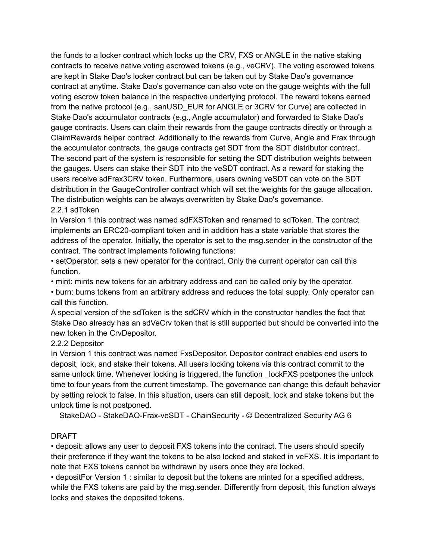the funds to a locker contract which locks up the CRV, FXS or ANGLE in the native staking contracts to receive native voting escrowed tokens (e.g., veCRV). The voting escrowed tokens are kept in Stake Dao's locker contract but can be taken out by Stake Dao's governance contract at anytime. Stake Dao's governance can also vote on the gauge weights with the full voting escrow token balance in the respective underlying protocol. The reward tokens earned from the native protocol (e.g., sanUSD EUR for ANGLE or 3CRV for Curve) are collected in Stake Dao's accumulator contracts (e.g., Angle accumulator) and forwarded to Stake Dao's gauge contracts. Users can claim their rewards from the gauge contracts directly or through a ClaimRewards helper contract. Additionally to the rewards from Curve, Angle and Frax through the accumulator contracts, the gauge contracts get SDT from the SDT distributor contract. The second part of the system is responsible for setting the SDT distribution weights between the gauges. Users can stake their SDT into the veSDT contract. As a reward for staking the users receive sdFrax3CRV token. Furthermore, users owning veSDT can vote on the SDT distribution in the GaugeController contract which will set the weights for the gauge allocation. The distribution weights can be always overwritten by Stake Dao's governance.

#### 2.2.1 sdToken

In Version 1 this contract was named sdFXSToken and renamed to sdToken. The contract implements an ERC20-compliant token and in addition has a state variable that stores the address of the operator. Initially, the operator is set to the msg.sender in the constructor of the contract. The contract implements following functions:

• setOperator: sets a new operator for the contract. Only the current operator can call this function.

• mint: mints new tokens for an arbitrary address and can be called only by the operator.

• burn: burns tokens from an arbitrary address and reduces the total supply. Only operator can call this function.

A special version of the sdToken is the sdCRV which in the constructor handles the fact that Stake Dao already has an sdVeCrv token that is still supported but should be converted into the new token in the CrvDepositor.

#### 2.2.2 Depositor

In Version 1 this contract was named FxsDepositor. Depositor contract enables end users to deposit, lock, and stake their tokens. All users locking tokens via this contract commit to the same unlock time. Whenever locking is triggered, the function LockFXS postpones the unlock time to four years from the current timestamp. The governance can change this default behavior by setting relock to false. In this situation, users can still deposit, lock and stake tokens but the unlock time is not postponed.

StakeDAO - StakeDAO-Frax-veSDT - ChainSecurity - © Decentralized Security AG 6

#### DRAFT

• deposit: allows any user to deposit FXS tokens into the contract. The users should specify their preference if they want the tokens to be also locked and staked in veFXS. It is important to note that FXS tokens cannot be withdrawn by users once they are locked.

• depositFor Version 1 : similar to deposit but the tokens are minted for a specified address, while the FXS tokens are paid by the msg.sender. Differently from deposit, this function always locks and stakes the deposited tokens.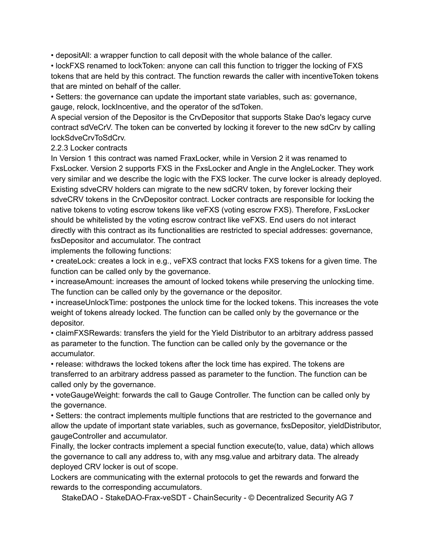• depositAll: a wrapper function to call deposit with the whole balance of the caller.

• lockFXS renamed to lockToken: anyone can call this function to trigger the locking of FXS tokens that are held by this contract. The function rewards the caller with incentiveToken tokens that are minted on behalf of the caller.

• Setters: the governance can update the important state variables, such as: governance, gauge, relock, lockIncentive, and the operator of the sdToken.

A special version of the Depositor is the CrvDepositor that supports Stake Dao's legacy curve contract sdVeCrV. The token can be converted by locking it forever to the new sdCrv by calling lockSdveCrvToSdCrv.

2.2.3 Locker contracts

In Version 1 this contract was named FraxLocker, while in Version 2 it was renamed to FxsLocker. Version 2 supports FXS in the FxsLocker and Angle in the AngleLocker. They work very similar and we describe the logic with the FXS locker. The curve locker is already deployed. Existing sdveCRV holders can migrate to the new sdCRV token, by forever locking their sdveCRV tokens in the CrvDepositor contract. Locker contracts are responsible for locking the native tokens to voting escrow tokens like veFXS (voting escrow FXS). Therefore, FxsLocker should be whitelisted by the voting escrow contract like veFXS. End users do not interact directly with this contract as its functionalities are restricted to special addresses: governance, fxsDepositor and accumulator. The contract

implements the following functions:

• createLock: creates a lock in e.g., veFXS contract that locks FXS tokens for a given time. The function can be called only by the governance.

• increaseAmount: increases the amount of locked tokens while preserving the unlocking time. The function can be called only by the governance or the depositor.

• increaseUnlockTime: postpones the unlock time for the locked tokens. This increases the vote weight of tokens already locked. The function can be called only by the governance or the depositor.

• claimFXSRewards: transfers the yield for the Yield Distributor to an arbitrary address passed as parameter to the function. The function can be called only by the governance or the accumulator.

• release: withdraws the locked tokens after the lock time has expired. The tokens are transferred to an arbitrary address passed as parameter to the function. The function can be called only by the governance.

• voteGaugeWeight: forwards the call to Gauge Controller. The function can be called only by the governance.

• Setters: the contract implements multiple functions that are restricted to the governance and allow the update of important state variables, such as governance, fxsDepositor, yieldDistributor, gaugeController and accumulator.

Finally, the locker contracts implement a special function execute(to, value, data) which allows the governance to call any address to, with any msg.value and arbitrary data. The already deployed CRV locker is out of scope.

Lockers are communicating with the external protocols to get the rewards and forward the rewards to the corresponding accumulators.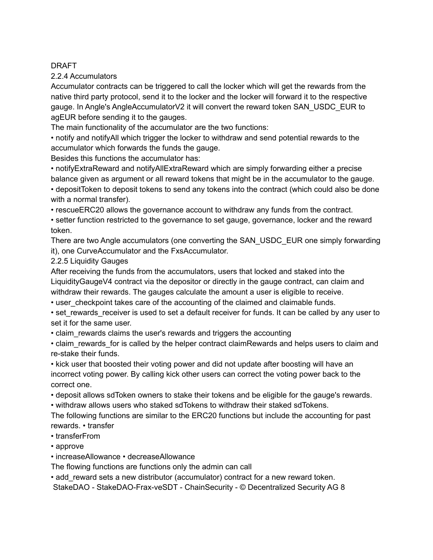2.2.4 Accumulators

Accumulator contracts can be triggered to call the locker which will get the rewards from the native third party protocol, send it to the locker and the locker will forward it to the respective gauge. In Angle's AngleAccumulatorV2 it will convert the reward token SAN USDC EUR to agEUR before sending it to the gauges.

The main functionality of the accumulator are the two functions:

• notify and notifyAll which trigger the locker to withdraw and send potential rewards to the accumulator which forwards the funds the gauge.

Besides this functions the accumulator has:

• notifyExtraReward and notifyAllExtraReward which are simply forwarding either a precise balance given as argument or all reward tokens that might be in the accumulator to the gauge.

• depositToken to deposit tokens to send any tokens into the contract (which could also be done with a normal transfer).

• rescueERC20 allows the governance account to withdraw any funds from the contract.

• setter function restricted to the governance to set gauge, governance, locker and the reward token.

There are two Angle accumulators (one converting the SAN\_USDC\_EUR one simply forwarding it), one CurveAccumulator and the FxsAccumulator.

#### 2.2.5 Liquidity Gauges

After receiving the funds from the accumulators, users that locked and staked into the LiquidityGaugeV4 contract via the depositor or directly in the gauge contract, can claim and withdraw their rewards. The gauges calculate the amount a user is eligible to receive.

• user\_checkpoint takes care of the accounting of the claimed and claimable funds.

• set rewards receiver is used to set a default receiver for funds. It can be called by any user to set it for the same user.

• claim rewards claims the user's rewards and triggers the accounting

• claim rewards for is called by the helper contract claimRewards and helps users to claim and re-stake their funds.

• kick user that boosted their voting power and did not update after boosting will have an incorrect voting power. By calling kick other users can correct the voting power back to the correct one.

• deposit allows sdToken owners to stake their tokens and be eligible for the gauge's rewards.

• withdraw allows users who staked sdTokens to withdraw their staked sdTokens.

The following functions are similar to the ERC20 functions but include the accounting for past rewards. • transfer

- transferFrom
- approve

• increaseAllowance • decreaseAllowance

The flowing functions are functions only the admin can call

• add reward sets a new distributor (accumulator) contract for a new reward token.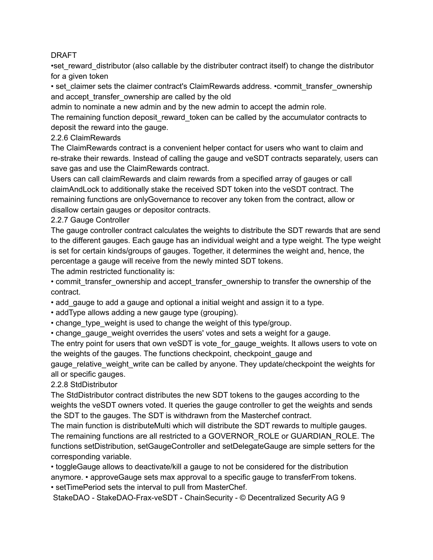•set\_reward\_distributor (also callable by the distributer contract itself) to change the distributor for a given token

• set claimer sets the claimer contract's ClaimRewards address. •commit transfer ownership and accept transfer ownership are called by the old

admin to nominate a new admin and by the new admin to accept the admin role.

The remaining function deposit reward token can be called by the accumulator contracts to deposit the reward into the gauge.

# 2.2.6 ClaimRewards

The ClaimRewards contract is a convenient helper contact for users who want to claim and re-strake their rewards. Instead of calling the gauge and veSDT contracts separately, users can save gas and use the ClaimRewards contract.

Users can call claimRewards and claim rewards from a specified array of gauges or call claimAndLock to additionally stake the received SDT token into the veSDT contract. The remaining functions are onlyGovernance to recover any token from the contract, allow or disallow certain gauges or depositor contracts.

2.2.7 Gauge Controller

The gauge controller contract calculates the weights to distribute the SDT rewards that are send to the different gauges. Each gauge has an individual weight and a type weight. The type weight is set for certain kinds/groups of gauges. Together, it determines the weight and, hence, the percentage a gauge will receive from the newly minted SDT tokens.

The admin restricted functionality is:

• commit transfer ownership and accept transfer ownership to transfer the ownership of the contract.

• add\_gauge to add a gauge and optional a initial weight and assign it to a type.

- addType allows adding a new gauge type (grouping).
- change\_type\_weight is used to change the weight of this type/group.
- change gauge weight overrides the users' votes and sets a weight for a gauge.

The entry point for users that own veSDT is vote for gauge weights. It allows users to vote on the weights of the gauges. The functions checkpoint, checkpoint\_gauge and

gauge relative weight write can be called by anyone. They update/checkpoint the weights for all or specific gauges.

# 2.2.8 StdDistributor

The StdDistributor contract distributes the new SDT tokens to the gauges according to the weights the veSDT owners voted. It queries the gauge controller to get the weights and sends the SDT to the gauges. The SDT is withdrawn from the Masterchef contract.

The main function is distributeMulti which will distribute the SDT rewards to multiple gauges. The remaining functions are all restricted to a GOVERNOR\_ROLE or GUARDIAN\_ROLE. The functions setDistribution, setGaugeController and setDelegateGauge are simple setters for the corresponding variable.

• toggleGauge allows to deactivate/kill a gauge to not be considered for the distribution anymore. • approveGauge sets max approval to a specific gauge to transferFrom tokens. • setTimePeriod sets the interval to pull from MasterChef.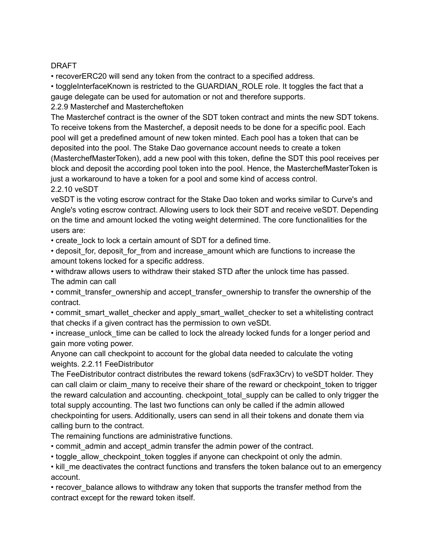• recoverERC20 will send any token from the contract to a specified address.

• toggleInterfaceKnown is restricted to the GUARDIAN\_ROLE role. It toggles the fact that a gauge delegate can be used for automation or not and therefore supports.

2.2.9 Masterchef and Mastercheftoken

The Masterchef contract is the owner of the SDT token contract and mints the new SDT tokens. To receive tokens from the Masterchef, a deposit needs to be done for a specific pool. Each pool will get a predefined amount of new token minted. Each pool has a token that can be deposited into the pool. The Stake Dao governance account needs to create a token (MasterchefMasterToken), add a new pool with this token, define the SDT this pool receives per block and deposit the according pool token into the pool. Hence, the MasterchefMasterToken is just a workaround to have a token for a pool and some kind of access control. 2.2.10 veSDT

veSDT is the voting escrow contract for the Stake Dao token and works similar to Curve's and Angle's voting escrow contract. Allowing users to lock their SDT and receive veSDT. Depending on the time and amount locked the voting weight determined. The core functionalities for the users are:

• create lock to lock a certain amount of SDT for a defined time.

• deposit for, deposit for from and increase amount which are functions to increase the amount tokens locked for a specific address.

• withdraw allows users to withdraw their staked STD after the unlock time has passed. The admin can call

• commit transfer ownership and accept transfer ownership to transfer the ownership of the contract.

• commit smart wallet checker and apply smart wallet checker to set a whitelisting contract that checks if a given contract has the permission to own veSDt.

• increase unlock time can be called to lock the already locked funds for a longer period and gain more voting power.

Anyone can call checkpoint to account for the global data needed to calculate the voting weights. 2.2.11 FeeDistributor

The FeeDistributor contract distributes the reward tokens (sdFrax3Crv) to veSDT holder. They can call claim or claim many to receive their share of the reward or checkpoint token to trigger the reward calculation and accounting. checkpoint total supply can be called to only trigger the total supply accounting. The last two functions can only be called if the admin allowed checkpointing for users. Additionally, users can send in all their tokens and donate them via calling burn to the contract.

The remaining functions are administrative functions.

- commit\_admin and accept\_admin transfer the admin power of the contract.
- toggle allow checkpoint token toggles if anyone can checkpoint ot only the admin.

• kill me deactivates the contract functions and transfers the token balance out to an emergency account.

• recover balance allows to withdraw any token that supports the transfer method from the contract except for the reward token itself.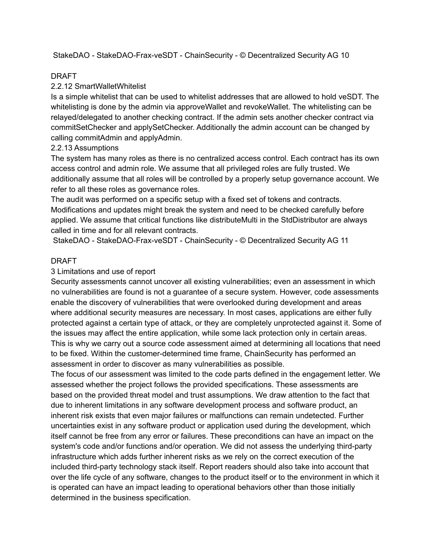StakeDAO - StakeDAO-Frax-veSDT - ChainSecurity - © Decentralized Security AG 10

#### DRAFT

#### 2.2.12 SmartWalletWhitelist

Is a simple whitelist that can be used to whitelist addresses that are allowed to hold veSDT. The whitelisting is done by the admin via approveWallet and revokeWallet. The whitelisting can be relayed/delegated to another checking contract. If the admin sets another checker contract via commitSetChecker and applySetChecker. Additionally the admin account can be changed by calling commitAdmin and applyAdmin.

#### 2.2.13 Assumptions

The system has many roles as there is no centralized access control. Each contract has its own access control and admin role. We assume that all privileged roles are fully trusted. We additionally assume that all roles will be controlled by a properly setup governance account. We refer to all these roles as governance roles.

The audit was performed on a specific setup with a fixed set of tokens and contracts. Modifications and updates might break the system and need to be checked carefully before applied. We assume that critical functions like distributeMulti in the StdDistributor are always called in time and for all relevant contracts.

StakeDAO - StakeDAO-Frax-veSDT - ChainSecurity - © Decentralized Security AG 11

#### DRAFT

#### 3 Limitations and use of report

Security assessments cannot uncover all existing vulnerabilities; even an assessment in which no vulnerabilities are found is not a guarantee of a secure system. However, code assessments enable the discovery of vulnerabilities that were overlooked during development and areas where additional security measures are necessary. In most cases, applications are either fully protected against a certain type of attack, or they are completely unprotected against it. Some of the issues may affect the entire application, while some lack protection only in certain areas. This is why we carry out a source code assessment aimed at determining all locations that need to be fixed. Within the customer-determined time frame, ChainSecurity has performed an assessment in order to discover as many vulnerabilities as possible.

The focus of our assessment was limited to the code parts defined in the engagement letter. We assessed whether the project follows the provided specifications. These assessments are based on the provided threat model and trust assumptions. We draw attention to the fact that due to inherent limitations in any software development process and software product, an inherent risk exists that even major failures or malfunctions can remain undetected. Further uncertainties exist in any software product or application used during the development, which itself cannot be free from any error or failures. These preconditions can have an impact on the system's code and/or functions and/or operation. We did not assess the underlying third-party infrastructure which adds further inherent risks as we rely on the correct execution of the included third-party technology stack itself. Report readers should also take into account that over the life cycle of any software, changes to the product itself or to the environment in which it is operated can have an impact leading to operational behaviors other than those initially determined in the business specification.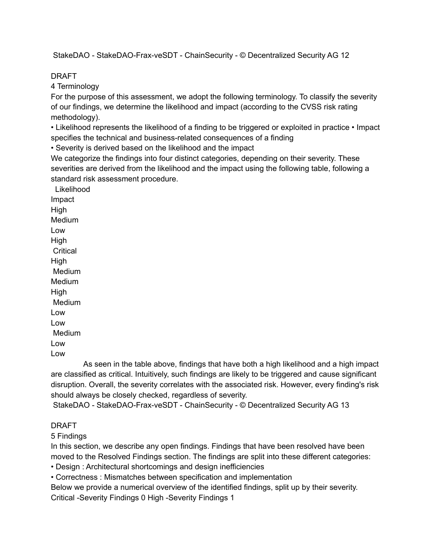StakeDAO - StakeDAO-Frax-veSDT - ChainSecurity - © Decentralized Security AG 12

#### DRAFT

4 Terminology

For the purpose of this assessment, we adopt the following terminology. To classify the severity of our findings, we determine the likelihood and impact (according to the CVSS risk rating methodology).

• Likelihood represents the likelihood of a finding to be triggered or exploited in practice • Impact specifies the technical and business-related consequences of a finding

• Severity is derived based on the likelihood and the impact

We categorize the findings into four distinct categories, depending on their severity. These severities are derived from the likelihood and the impact using the following table, following a standard risk assessment procedure.

Likelihood Impact High Medium Low High **Critical** High Medium Medium High Medium Low Low Medium Low Low

As seen in the table above, findings that have both a high likelihood and a high impact are classified as critical. Intuitively, such findings are likely to be triggered and cause significant disruption. Overall, the severity correlates with the associated risk. However, every finding's risk should always be closely checked, regardless of severity.

StakeDAO - StakeDAO-Frax-veSDT - ChainSecurity - © Decentralized Security AG 13

### DRAFT

5 Findings

In this section, we describe any open findings. Findings that have been resolved have been moved to the Resolved Findings section. The findings are split into these different categories:

• Design : Architectural shortcomings and design inefficiencies

• Correctness : Mismatches between specification and implementation

Below we provide a numerical overview of the identified findings, split up by their severity. Critical -Severity Findings 0 High -Severity Findings 1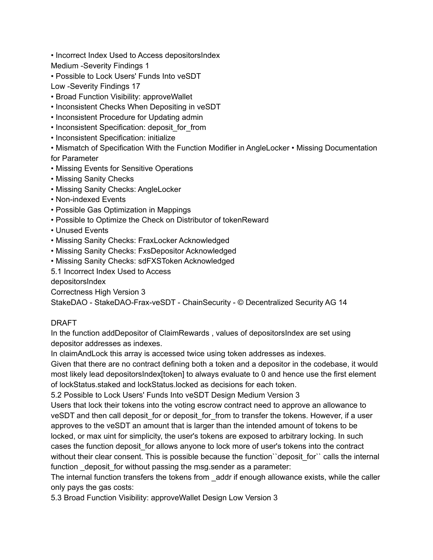• Incorrect Index Used to Access depositorsIndex

Medium -Severity Findings 1

• Possible to Lock Users' Funds Into veSDT

Low -Severity Findings 17

- Broad Function Visibility: approveWallet
- Inconsistent Checks When Depositing in veSDT
- Inconsistent Procedure for Updating admin
- Inconsistent Specification: deposit for from
- Inconsistent Specification: initialize

• Mismatch of Specification With the Function Modifier in AngleLocker • Missing Documentation for Parameter

- Missing Events for Sensitive Operations
- Missing Sanity Checks
- Missing Sanity Checks: AngleLocker
- Non-indexed Events
- Possible Gas Optimization in Mappings
- Possible to Optimize the Check on Distributor of tokenReward
- Unused Events
- Missing Sanity Checks: FraxLocker Acknowledged
- Missing Sanity Checks: FxsDepositor Acknowledged
- Missing Sanity Checks: sdFXSToken Acknowledged

5.1 Incorrect Index Used to Access

depositorsIndex

Correctness High Version 3

StakeDAO - StakeDAO-Frax-veSDT - ChainSecurity - © Decentralized Security AG 14

### DRAFT

In the function addDepositor of ClaimRewards , values of depositorsIndex are set using depositor addresses as indexes.

In claimAndLock this array is accessed twice using token addresses as indexes.

Given that there are no contract defining both a token and a depositor in the codebase, it would most likely lead depositorsIndex[token] to always evaluate to 0 and hence use the first element of lockStatus.staked and lockStatus.locked as decisions for each token.

5.2 Possible to Lock Users' Funds Into veSDT Design Medium Version 3

Users that lock their tokens into the voting escrow contract need to approve an allowance to veSDT and then call deposit for or deposit for from to transfer the tokens. However, if a user approves to the veSDT an amount that is larger than the intended amount of tokens to be locked, or max uint for simplicity, the user's tokens are exposed to arbitrary locking. In such cases the function deposit\_for allows anyone to lock more of user's tokens into the contract without their clear consent. This is possible because the function deposit for inclusion the internal function deposit for without passing the msg.sender as a parameter:

The internal function transfers the tokens from \_addr if enough allowance exists, while the caller only pays the gas costs:

5.3 Broad Function Visibility: approveWallet Design Low Version 3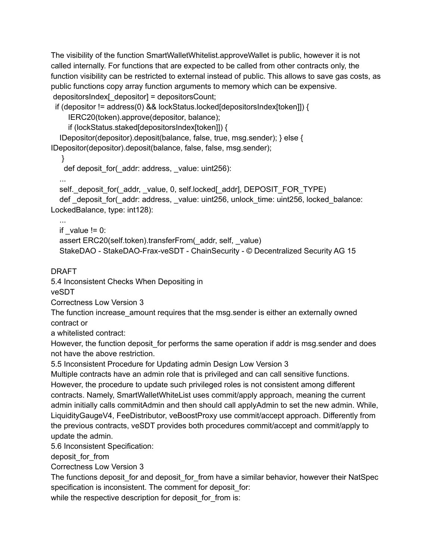The visibility of the function SmartWalletWhitelist.approveWallet is public, however it is not called internally. For functions that are expected to be called from other contracts only, the function visibility can be restricted to external instead of public. This allows to save gas costs, as public functions copy array function arguments to memory which can be expensive. depositorsIndex[ depositor] = depositorsCount;

if (depositor != address(0) && lockStatus.locked[depositorsIndex[token]]) {

IERC20(token).approve(depositor, balance);

if (lockStatus.staked[depositorsIndex[token]]) {

IDepositor(depositor).deposit(balance, false, true, msg.sender); } else {

IDepositor(depositor).deposit(balance, false, false, msg.sender);

}

def deposit for( addr: address, value: uint256):

...

self.\_deposit\_for(\_addr, \_value, 0, self.locked[\_addr], DEPOSIT\_FOR\_TYPE)

def deposit for( addr: address, value: uint256, unlock time: uint256, locked balance: LockedBalance, type: int128):

... if  $value != 0$ : assert ERC20(self.token).transferFrom(\_addr, self, \_value) StakeDAO - StakeDAO-Frax-veSDT - ChainSecurity - © Decentralized Security AG 15

DRAFT

5.4 Inconsistent Checks When Depositing in

veSDT

Correctness Low Version 3

The function increase amount requires that the msg.sender is either an externally owned contract or

a whitelisted contract:

However, the function deposit for performs the same operation if addr is msg.sender and does not have the above restriction.

5.5 Inconsistent Procedure for Updating admin Design Low Version 3

Multiple contracts have an admin role that is privileged and can call sensitive functions. However, the procedure to update such privileged roles is not consistent among different contracts. Namely, SmartWalletWhiteList uses commit/apply approach, meaning the current admin initially calls commitAdmin and then should call applyAdmin to set the new admin. While, LiquidityGaugeV4, FeeDistributor, veBoostProxy use commit/accept approach. Differently from the previous contracts, veSDT provides both procedures commit/accept and commit/apply to update the admin.

5.6 Inconsistent Specification:

deposit\_for\_from

Correctness Low Version 3

The functions deposit for and deposit for from have a similar behavior, however their NatSpec specification is inconsistent. The comment for deposit for:

while the respective description for deposit for from is: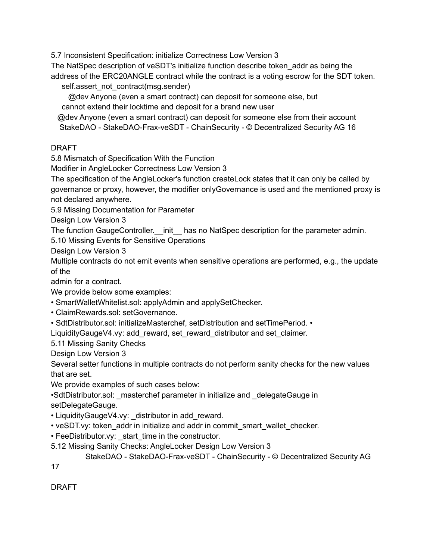5.7 Inconsistent Specification: initialize Correctness Low Version 3

The NatSpec description of veSDT's initialize function describe token\_addr as being the

address of the ERC20ANGLE contract while the contract is a voting escrow for the SDT token. self.assert\_not\_contract(msg.sender)

@dev Anyone (even a smart contract) can deposit for someone else, but

cannot extend their locktime and deposit for a brand new user

@dev Anyone (even a smart contract) can deposit for someone else from their account StakeDAO - StakeDAO-Frax-veSDT - ChainSecurity - © Decentralized Security AG 16

DRAFT

5.8 Mismatch of Specification With the Function

Modifier in AngleLocker Correctness Low Version 3

The specification of the AngleLocker's function createLock states that it can only be called by governance or proxy, however, the modifier onlyGovernance is used and the mentioned proxy is not declared anywhere.

5.9 Missing Documentation for Parameter

Design Low Version 3

The function GaugeController. \_ init \_ has no NatSpec description for the parameter admin.

5.10 Missing Events for Sensitive Operations

Design Low Version 3

Multiple contracts do not emit events when sensitive operations are performed, e.g., the update of the

admin for a contract.

We provide below some examples:

• SmartWalletWhitelist.sol: applyAdmin and applySetChecker.

• ClaimRewards.sol: setGovernance.

• SdtDistributor.sol: initializeMasterchef, setDistribution and setTimePeriod. •

LiquidityGaugeV4.vy: add\_reward, set\_reward\_distributor and set\_claimer.

5.11 Missing Sanity Checks

Design Low Version 3

Several setter functions in multiple contracts do not perform sanity checks for the new values that are set.

We provide examples of such cases below:

•SdtDistributor.sol: \_masterchef parameter in initialize and \_delegateGauge in setDelegateGauge.

• LiquidityGaugeV4.vy: distributor in add reward.

• veSDT.vy: token addr in initialize and addr in commit smart wallet checker.

• FeeDistributor.vy: start time in the constructor.

5.12 Missing Sanity Checks: AngleLocker Design Low Version 3

StakeDAO - StakeDAO-Frax-veSDT - ChainSecurity - © Decentralized Security AG

17

DRAFT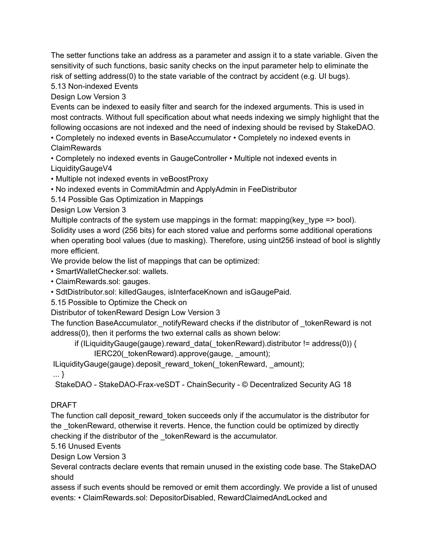The setter functions take an address as a parameter and assign it to a state variable. Given the sensitivity of such functions, basic sanity checks on the input parameter help to eliminate the risk of setting address(0) to the state variable of the contract by accident (e.g. UI bugs).

5.13 Non-indexed Events

Design Low Version 3

Events can be indexed to easily filter and search for the indexed arguments. This is used in most contracts. Without full specification about what needs indexing we simply highlight that the following occasions are not indexed and the need of indexing should be revised by StakeDAO.

• Completely no indexed events in BaseAccumulator • Completely no indexed events in ClaimRewards

• Completely no indexed events in GaugeController • Multiple not indexed events in LiquidityGaugeV4

• Multiple not indexed events in veBoostProxy

• No indexed events in CommitAdmin and ApplyAdmin in FeeDistributor

5.14 Possible Gas Optimization in Mappings

Design Low Version 3

Multiple contracts of the system use mappings in the format: mapping (key type  $\equiv$  bool). Solidity uses a word (256 bits) for each stored value and performs some additional operations when operating bool values (due to masking). Therefore, using uint256 instead of bool is slightly more efficient.

We provide below the list of mappings that can be optimized:

• SmartWalletChecker.sol: wallets.

• ClaimRewards.sol: gauges.

• SdtDistributor.sol: killedGauges, isInterfaceKnown and isGaugePaid.

5.15 Possible to Optimize the Check on

Distributor of tokenReward Design Low Version 3

The function BaseAccumulator. notifyReward checks if the distributor of \_tokenReward is not address(0), then it performs the two external calls as shown below:

if (ILiquidityGauge(gauge).reward\_data(\_tokenReward).distributor != address(0)) {

IERC20(\_tokenReward).approve(gauge, \_amount);

ILiquidityGauge(gauge).deposit\_reward\_token(\_tokenReward, \_amount);

... }

StakeDAO - StakeDAO-Frax-veSDT - ChainSecurity - © Decentralized Security AG 18

### DRAFT

The function call deposit reward token succeeds only if the accumulator is the distributor for the tokenReward, otherwise it reverts. Hence, the function could be optimized by directly checking if the distributor of the \_tokenReward is the accumulator.

5.16 Unused Events

Design Low Version 3

Several contracts declare events that remain unused in the existing code base. The StakeDAO should

assess if such events should be removed or emit them accordingly. We provide a list of unused events: • ClaimRewards.sol: DepositorDisabled, RewardClaimedAndLocked and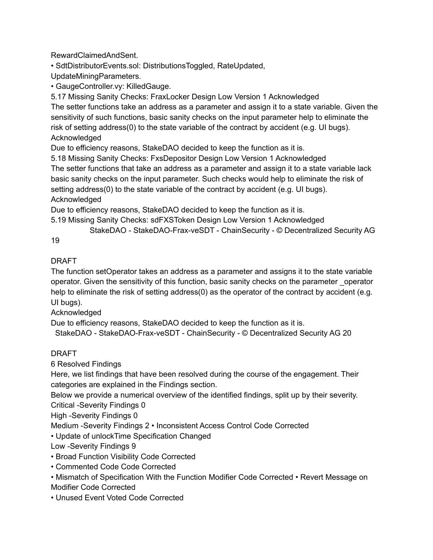RewardClaimedAndSent.

• SdtDistributorEvents.sol: DistributionsToggled, RateUpdated,

UpdateMiningParameters.

• GaugeController.vy: KilledGauge.

5.17 Missing Sanity Checks: FraxLocker Design Low Version 1 Acknowledged

The setter functions take an address as a parameter and assign it to a state variable. Given the sensitivity of such functions, basic sanity checks on the input parameter help to eliminate the risk of setting address(0) to the state variable of the contract by accident (e.g. UI bugs). Acknowledged

Due to efficiency reasons, StakeDAO decided to keep the function as it is.

5.18 Missing Sanity Checks: FxsDepositor Design Low Version 1 Acknowledged

The setter functions that take an address as a parameter and assign it to a state variable lack basic sanity checks on the input parameter. Such checks would help to eliminate the risk of setting address(0) to the state variable of the contract by accident (e.g. UI bugs). Acknowledged

Due to efficiency reasons, StakeDAO decided to keep the function as it is.

5.19 Missing Sanity Checks: sdFXSToken Design Low Version 1 Acknowledged

StakeDAO - StakeDAO-Frax-veSDT - ChainSecurity - © Decentralized Security AG

19

# DRAFT

The function setOperator takes an address as a parameter and assigns it to the state variable operator. Given the sensitivity of this function, basic sanity checks on the parameter \_operator help to eliminate the risk of setting address(0) as the operator of the contract by accident (e.g. UI bugs).

Acknowledged

Due to efficiency reasons, StakeDAO decided to keep the function as it is.

StakeDAO - StakeDAO-Frax-veSDT - ChainSecurity - © Decentralized Security AG 20

# DRAFT

6 Resolved Findings

Here, we list findings that have been resolved during the course of the engagement. Their categories are explained in the Findings section.

Below we provide a numerical overview of the identified findings, split up by their severity. Critical -Severity Findings 0

High -Severity Findings 0

Medium -Severity Findings 2 • Inconsistent Access Control Code Corrected

• Update of unlockTime Specification Changed

Low -Severity Findings 9

- Broad Function Visibility Code Corrected
- Commented Code Code Corrected

• Mismatch of Specification With the Function Modifier Code Corrected • Revert Message on Modifier Code Corrected

• Unused Event Voted Code Corrected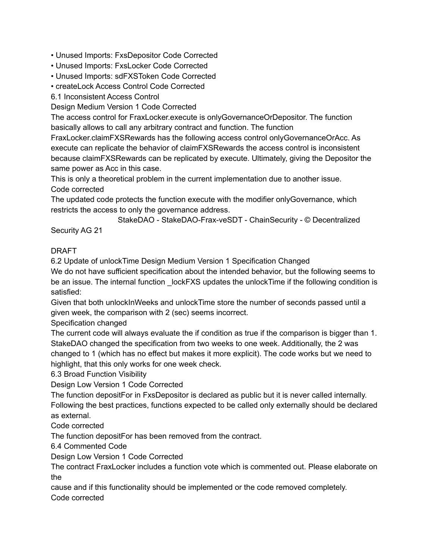• Unused Imports: FxsDepositor Code Corrected

- Unused Imports: FxsLocker Code Corrected
- Unused Imports: sdFXSToken Code Corrected
- createLock Access Control Code Corrected

6.1 Inconsistent Access Control

Design Medium Version 1 Code Corrected

The access control for FraxLocker.execute is onlyGovernanceOrDepositor. The function basically allows to call any arbitrary contract and function. The function

FraxLocker.claimFXSRewards has the following access control onlyGovernanceOrAcc. As execute can replicate the behavior of claimFXSRewards the access control is inconsistent because claimFXSRewards can be replicated by execute. Ultimately, giving the Depositor the same power as Acc in this case.

This is only a theoretical problem in the current implementation due to another issue. Code corrected

The updated code protects the function execute with the modifier onlyGovernance, which restricts the access to only the governance address.

StakeDAO - StakeDAO-Frax-veSDT - ChainSecurity - © Decentralized Security AG 21

# DRAFT

6.2 Update of unlockTime Design Medium Version 1 Specification Changed

We do not have sufficient specification about the intended behavior, but the following seems to be an issue. The internal function lockFXS updates the unlockTime if the following condition is satisfied:

Given that both unlockInWeeks and unlockTime store the number of seconds passed until a given week, the comparison with 2 (sec) seems incorrect.

Specification changed

The current code will always evaluate the if condition as true if the comparison is bigger than 1. StakeDAO changed the specification from two weeks to one week. Additionally, the 2 was changed to 1 (which has no effect but makes it more explicit). The code works but we need to highlight, that this only works for one week check.

6.3 Broad Function Visibility

Design Low Version 1 Code Corrected

The function depositFor in FxsDepositor is declared as public but it is never called internally. Following the best practices, functions expected to be called only externally should be declared as external.

Code corrected

The function depositFor has been removed from the contract.

6.4 Commented Code

Design Low Version 1 Code Corrected

The contract FraxLocker includes a function vote which is commented out. Please elaborate on the

cause and if this functionality should be implemented or the code removed completely. Code corrected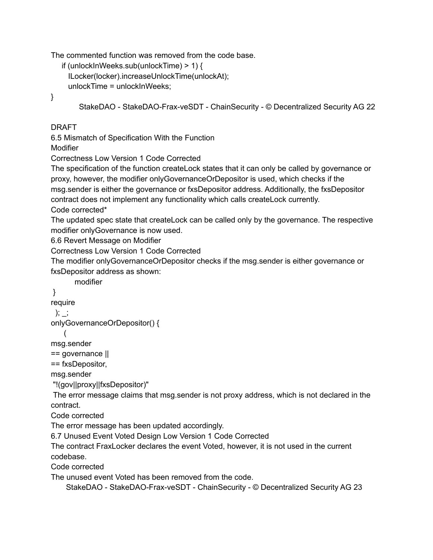The commented function was removed from the code base.

```
if (unlockInWeeks.sub(unlockTime) > 1) {
ILocker(locker).increaseUnlockTime(unlockAt);
unlockTime = unlockInWeeks;
```
}

```
StakeDAO - StakeDAO-Frax-veSDT - ChainSecurity - © Decentralized Security AG 22
```
# DRAFT

6.5 Mismatch of Specification With the Function

Modifier

Correctness Low Version 1 Code Corrected

The specification of the function createLock states that it can only be called by governance or proxy, however, the modifier onlyGovernanceOrDepositor is used, which checks if the msg.sender is either the governance or fxsDepositor address. Additionally, the fxsDepositor contract does not implement any functionality which calls createLock currently.

Code corrected\*

The updated spec state that createLock can be called only by the governance. The respective modifier onlyGovernance is now used.

6.6 Revert Message on Modifier

Correctness Low Version 1 Code Corrected

The modifier onlyGovernanceOrDepositor checks if the msg.sender is either governance or fxsDepositor address as shown:

modifier

# }

require

); \_;

```
onlyGovernanceOrDepositor() {
```
(

msg.sender

== governance ||

== fxsDepositor,

msg.sender

"!(gov||proxy||fxsDepositor)"

The error message claims that msg.sender is not proxy address, which is not declared in the contract.

Code corrected

The error message has been updated accordingly.

6.7 Unused Event Voted Design Low Version 1 Code Corrected

The contract FraxLocker declares the event Voted, however, it is not used in the current codebase.

Code corrected

The unused event Voted has been removed from the code.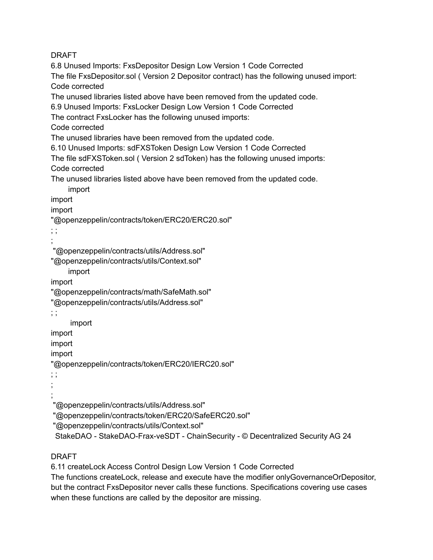6.8 Unused Imports: FxsDepositor Design Low Version 1 Code Corrected The file FxsDepositor.sol ( Version 2 Depositor contract) has the following unused import: Code corrected The unused libraries listed above have been removed from the updated code. 6.9 Unused Imports: FxsLocker Design Low Version 1 Code Corrected The contract FxsLocker has the following unused imports: Code corrected The unused libraries have been removed from the updated code. 6.10 Unused Imports: sdFXSToken Design Low Version 1 Code Corrected The file sdFXSToken.sol ( Version 2 sdToken) has the following unused imports: Code corrected The unused libraries listed above have been removed from the updated code. import import import "@openzeppelin/contracts/token/ERC20/ERC20.sol" ; ; ; "@openzeppelin/contracts/utils/Address.sol" "@openzeppelin/contracts/utils/Context.sol" import import "@openzeppelin/contracts/math/SafeMath.sol" "@openzeppelin/contracts/utils/Address.sol" ; ; import import import import "@openzeppelin/contracts/token/ERC20/IERC20.sol" ; ; ; ; "@openzeppelin/contracts/utils/Address.sol" "@openzeppelin/contracts/token/ERC20/SafeERC20.sol" "@openzeppelin/contracts/utils/Context.sol" StakeDAO - StakeDAO-Frax-veSDT - ChainSecurity - © Decentralized Security AG 24

### DRAFT

6.11 createLock Access Control Design Low Version 1 Code Corrected

The functions createLock, release and execute have the modifier onlyGovernanceOrDepositor, but the contract FxsDepositor never calls these functions. Specifications covering use cases when these functions are called by the depositor are missing.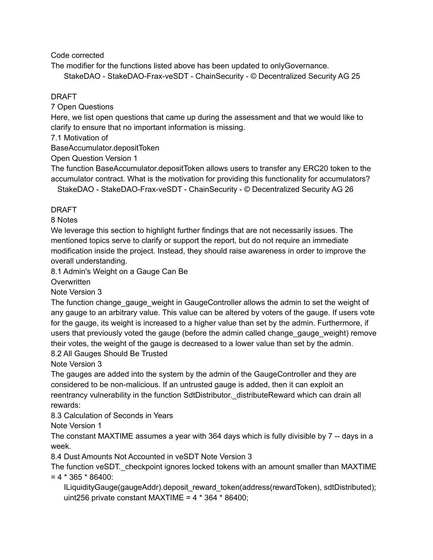Code corrected

The modifier for the functions listed above has been updated to onlyGovernance.

StakeDAO - StakeDAO-Frax-veSDT - ChainSecurity - © Decentralized Security AG 25

## DRAFT

7 Open Questions

Here, we list open questions that came up during the assessment and that we would like to clarify to ensure that no important information is missing.

7.1 Motivation of

BaseAccumulator.depositToken

Open Question Version 1

The function BaseAccumulator.depositToken allows users to transfer any ERC20 token to the accumulator contract. What is the motivation for providing this functionality for accumulators? StakeDAO - StakeDAO-Frax-veSDT - ChainSecurity - © Decentralized Security AG 26

# DRAFT

8 Notes

We leverage this section to highlight further findings that are not necessarily issues. The mentioned topics serve to clarify or support the report, but do not require an immediate modification inside the project. Instead, they should raise awareness in order to improve the overall understanding.

8.1 Admin's Weight on a Gauge Can Be

**Overwritten** 

Note Version 3

The function change\_gauge\_weight in GaugeController allows the admin to set the weight of any gauge to an arbitrary value. This value can be altered by voters of the gauge. If users vote for the gauge, its weight is increased to a higher value than set by the admin. Furthermore, if users that previously voted the gauge (before the admin called change\_gauge\_weight) remove their votes, the weight of the gauge is decreased to a lower value than set by the admin. 8.2 All Gauges Should Be Trusted

Note Version 3

The gauges are added into the system by the admin of the GaugeController and they are considered to be non-malicious. If an untrusted gauge is added, then it can exploit an reentrancy vulnerability in the function SdtDistributor. distributeReward which can drain all rewards:

8.3 Calculation of Seconds in Years

Note Version 1

The constant MAXTIME assumes a year with 364 days which is fully divisible by 7 -- days in a week.

8.4 Dust Amounts Not Accounted in veSDT Note Version 3

The function veSDT. checkpoint ignores locked tokens with an amount smaller than MAXTIME  $= 4 * 365 * 86400$ :

ILiquidityGauge(gaugeAddr).deposit\_reward\_token(address(rewardToken), sdtDistributed); uint256 private constant MAXTIME =  $4 * 364 * 86400$ ;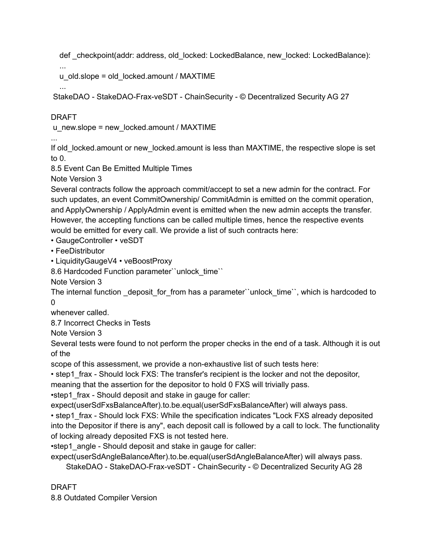def checkpoint(addr: address, old locked: LockedBalance, new locked: LockedBalance):

... u\_old.slope = old\_locked.amount / MAXTIME

...

StakeDAO - StakeDAO-Frax-veSDT - ChainSecurity - © Decentralized Security AG 27

# DRAFT

...

u\_new.slope = new\_locked.amount / MAXTIME

If old locked.amount or new locked.amount is less than MAXTIME, the respective slope is set to 0.

8.5 Event Can Be Emitted Multiple Times

Note Version 3

Several contracts follow the approach commit/accept to set a new admin for the contract. For such updates, an event CommitOwnership/ CommitAdmin is emitted on the commit operation, and ApplyOwnership / ApplyAdmin event is emitted when the new admin accepts the transfer. However, the accepting functions can be called multiple times, hence the respective events would be emitted for every call. We provide a list of such contracts here:

• GaugeController • veSDT

• FeeDistributor

• LiquidityGaugeV4 • veBoostProxy

8.6 Hardcoded Function parameter``unlock\_time``

Note Version 3

The internal function deposit for from has a parameter``unlock time``, which is hardcoded to  $\Omega$ 

whenever called.

8.7 Incorrect Checks in Tests

Note Version 3

Several tests were found to not perform the proper checks in the end of a task. Although it is out of the

scope of this assessment, we provide a non-exhaustive list of such tests here:

• step1 frax - Should lock FXS: The transfer's recipient is the locker and not the depositor,

meaning that the assertion for the depositor to hold 0 FXS will trivially pass.

•step1 frax - Should deposit and stake in gauge for caller:

expect(userSdFxsBalanceAfter).to.be.equal(userSdFxsBalanceAfter) will always pass.

• step1 frax - Should lock FXS: While the specification indicates "Lock FXS already deposited into the Depositor if there is any", each deposit call is followed by a call to lock. The functionality of locking already deposited FXS is not tested here.

•step1\_angle - Should deposit and stake in gauge for caller:

expect(userSdAngleBalanceAfter).to.be.equal(userSdAngleBalanceAfter) will always pass. StakeDAO - StakeDAO-Frax-veSDT - ChainSecurity - © Decentralized Security AG 28

DRAFT

8.8 Outdated Compiler Version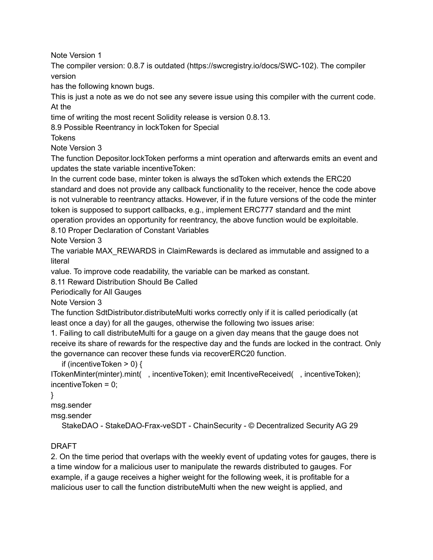Note Version 1

The compiler version: 0.8.7 is outdated (https://swcregistry.io/docs/SWC-102). The compiler version

has the following known bugs.

This is just a note as we do not see any severe issue using this compiler with the current code. At the

time of writing the most recent Solidity release is version 0.8.13.

8.9 Possible Reentrancy in lockToken for Special

**Tokens** 

Note Version 3

The function Depositor.lockToken performs a mint operation and afterwards emits an event and updates the state variable incentiveToken:

In the current code base, minter token is always the sdToken which extends the ERC20 standard and does not provide any callback functionality to the receiver, hence the code above is not vulnerable to reentrancy attacks. However, if in the future versions of the code the minter token is supposed to support callbacks, e.g., implement ERC777 standard and the mint operation provides an opportunity for reentrancy, the above function would be exploitable. 8.10 Proper Declaration of Constant Variables

Note Version 3

The variable MAX\_REWARDS in ClaimRewards is declared as immutable and assigned to a literal

value. To improve code readability, the variable can be marked as constant.

8.11 Reward Distribution Should Be Called

Periodically for All Gauges

Note Version 3

The function SdtDistributor.distributeMulti works correctly only if it is called periodically (at least once a day) for all the gauges, otherwise the following two issues arise:

1. Failing to call distributeMulti for a gauge on a given day means that the gauge does not receive its share of rewards for the respective day and the funds are locked in the contract. Only the governance can recover these funds via recoverERC20 function.

if (incentiveToken > 0) {

ITokenMinter(minter).mint( , incentiveToken); emit IncentiveReceived( , incentiveToken); incentiveToken = 0;

}

msg.sender

msg.sender

StakeDAO - StakeDAO-Frax-veSDT - ChainSecurity - © Decentralized Security AG 29

# DRAFT

2. On the time period that overlaps with the weekly event of updating votes for gauges, there is a time window for a malicious user to manipulate the rewards distributed to gauges. For example, if a gauge receives a higher weight for the following week, it is profitable for a malicious user to call the function distributeMulti when the new weight is applied, and